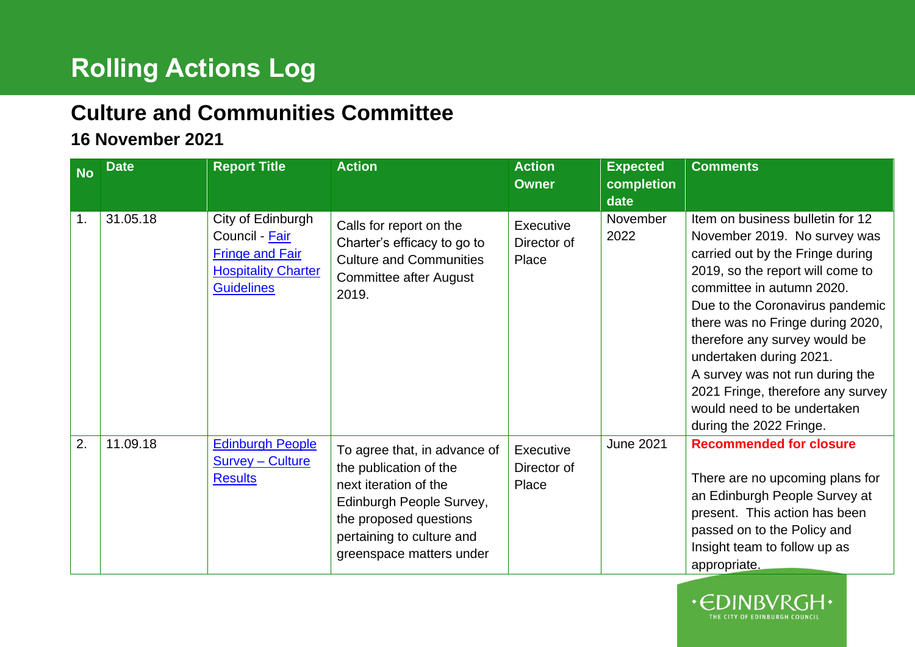## **Rolling Actions Log**

## **Culture and Communities Committee**

## **16 November 2021**

| <b>No</b> | <b>Date</b> | <b>Report Title</b>                                                                                              | <b>Action</b>                                                                                                                                                                                  | <b>Action</b><br><b>Owner</b>     | <b>Expected</b><br>completion<br>date | <b>Comments</b>                                                                                                                                                                                                                                                                                                                                                                                                                            |
|-----------|-------------|------------------------------------------------------------------------------------------------------------------|------------------------------------------------------------------------------------------------------------------------------------------------------------------------------------------------|-----------------------------------|---------------------------------------|--------------------------------------------------------------------------------------------------------------------------------------------------------------------------------------------------------------------------------------------------------------------------------------------------------------------------------------------------------------------------------------------------------------------------------------------|
| 1.        | 31.05.18    | City of Edinburgh<br>Council - Fair<br><b>Fringe and Fair</b><br><b>Hospitality Charter</b><br><b>Guidelines</b> | Calls for report on the<br>Charter's efficacy to go to<br><b>Culture and Communities</b><br><b>Committee after August</b><br>2019.                                                             | Executive<br>Director of<br>Place | November<br>2022                      | Item on business bulletin for 12<br>November 2019. No survey was<br>carried out by the Fringe during<br>2019, so the report will come to<br>committee in autumn 2020.<br>Due to the Coronavirus pandemic<br>there was no Fringe during 2020,<br>therefore any survey would be<br>undertaken during 2021.<br>A survey was not run during the<br>2021 Fringe, therefore any survey<br>would need to be undertaken<br>during the 2022 Fringe. |
| 2.        | 11.09.18    | <b>Edinburgh People</b><br><b>Survey - Culture</b><br><b>Results</b>                                             | To agree that, in advance of<br>the publication of the<br>next iteration of the<br>Edinburgh People Survey,<br>the proposed questions<br>pertaining to culture and<br>greenspace matters under | Executive<br>Director of<br>Place | <b>June 2021</b>                      | <b>Recommended for closure</b><br>There are no upcoming plans for<br>an Edinburgh People Survey at<br>present. This action has been<br>passed on to the Policy and<br>Insight team to follow up as<br>appropriate.                                                                                                                                                                                                                         |

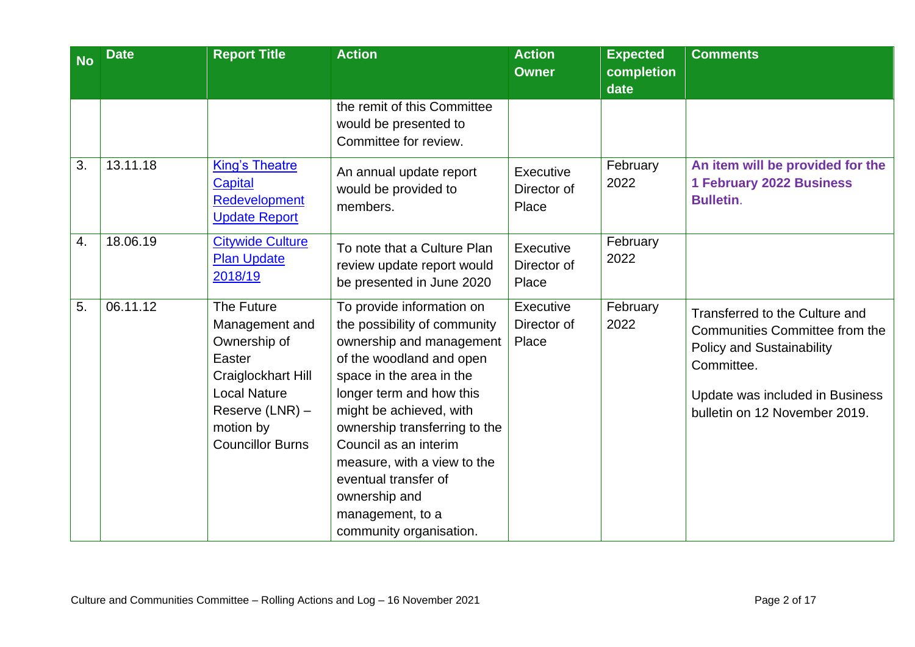| <b>No</b> | <b>Date</b> | <b>Report Title</b>                                                                                                                                            | <b>Action</b>                                                                                                                                                                                                                                                                                                                                                                         | <b>Action</b><br><b>Owner</b>     | <b>Expected</b><br>completion<br>date | <b>Comments</b>                                                                                                                                                                        |
|-----------|-------------|----------------------------------------------------------------------------------------------------------------------------------------------------------------|---------------------------------------------------------------------------------------------------------------------------------------------------------------------------------------------------------------------------------------------------------------------------------------------------------------------------------------------------------------------------------------|-----------------------------------|---------------------------------------|----------------------------------------------------------------------------------------------------------------------------------------------------------------------------------------|
|           |             |                                                                                                                                                                | the remit of this Committee<br>would be presented to<br>Committee for review.                                                                                                                                                                                                                                                                                                         |                                   |                                       |                                                                                                                                                                                        |
| 3.        | 13.11.18    | <b>King's Theatre</b><br><b>Capital</b><br>Redevelopment<br><b>Update Report</b>                                                                               | An annual update report<br>would be provided to<br>members.                                                                                                                                                                                                                                                                                                                           | Executive<br>Director of<br>Place | February<br>2022                      | An item will be provided for the<br>1 February 2022 Business<br><b>Bulletin.</b>                                                                                                       |
| 4.        | 18.06.19    | <b>Citywide Culture</b><br><b>Plan Update</b><br>2018/19                                                                                                       | To note that a Culture Plan<br>review update report would<br>be presented in June 2020                                                                                                                                                                                                                                                                                                | Executive<br>Director of<br>Place | February<br>2022                      |                                                                                                                                                                                        |
| 5.        | 06.11.12    | The Future<br>Management and<br>Ownership of<br>Easter<br>Craiglockhart Hill<br><b>Local Nature</b><br>Reserve (LNR) -<br>motion by<br><b>Councillor Burns</b> | To provide information on<br>the possibility of community<br>ownership and management<br>of the woodland and open<br>space in the area in the<br>longer term and how this<br>might be achieved, with<br>ownership transferring to the<br>Council as an interim<br>measure, with a view to the<br>eventual transfer of<br>ownership and<br>management, to a<br>community organisation. | Executive<br>Director of<br>Place | February<br>2022                      | Transferred to the Culture and<br>Communities Committee from the<br><b>Policy and Sustainability</b><br>Committee.<br>Update was included in Business<br>bulletin on 12 November 2019. |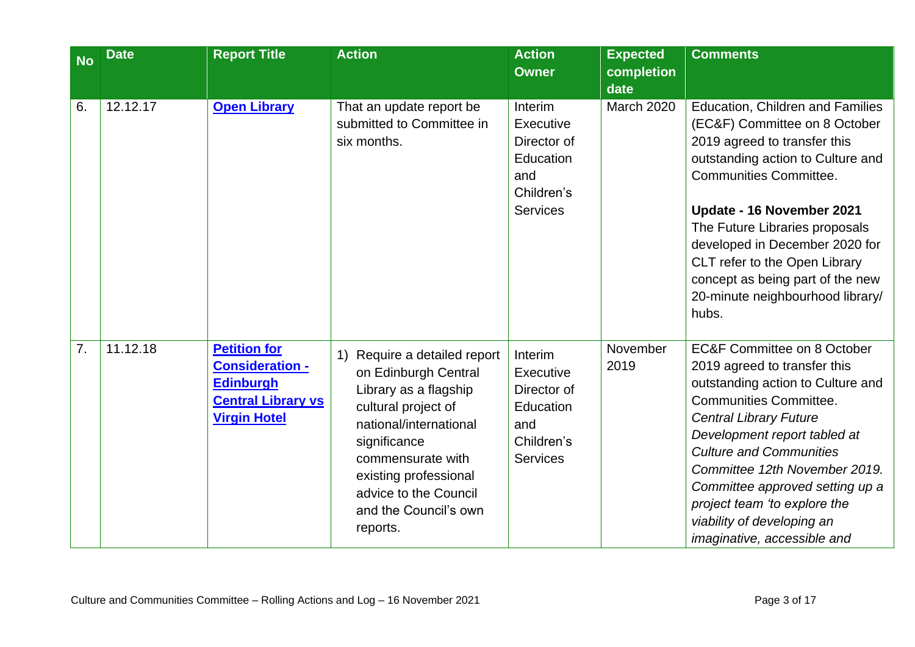| <b>No</b> | <b>Date</b> | <b>Report Title</b>                                                                                                   | <b>Action</b>                                                                                                                                                                                                                                              | <b>Action</b><br><b>Owner</b>                                                                   | <b>Expected</b><br>completion<br>date | <b>Comments</b>                                                                                                                                                                                                                                                                                                                                                                                                  |
|-----------|-------------|-----------------------------------------------------------------------------------------------------------------------|------------------------------------------------------------------------------------------------------------------------------------------------------------------------------------------------------------------------------------------------------------|-------------------------------------------------------------------------------------------------|---------------------------------------|------------------------------------------------------------------------------------------------------------------------------------------------------------------------------------------------------------------------------------------------------------------------------------------------------------------------------------------------------------------------------------------------------------------|
| 6.        | 12.12.17    | <b>Open Library</b>                                                                                                   | That an update report be<br>submitted to Committee in<br>six months.                                                                                                                                                                                       | Interim<br>Executive<br>Director of<br>Education<br>and<br>Children's<br><b>Services</b>        | March 2020                            | <b>Education, Children and Families</b><br>(EC&F) Committee on 8 October<br>2019 agreed to transfer this<br>outstanding action to Culture and<br><b>Communities Committee.</b><br>Update - 16 November 2021<br>The Future Libraries proposals<br>developed in December 2020 for<br>CLT refer to the Open Library<br>concept as being part of the new<br>20-minute neighbourhood library/<br>hubs.                |
| 7.        | 11.12.18    | <b>Petition for</b><br><b>Consideration -</b><br><b>Edinburgh</b><br><b>Central Library vs</b><br><b>Virgin Hotel</b> | 1) Require a detailed report<br>on Edinburgh Central<br>Library as a flagship<br>cultural project of<br>national/international<br>significance<br>commensurate with<br>existing professional<br>advice to the Council<br>and the Council's own<br>reports. | Interim<br><b>Executive</b><br>Director of<br>Education<br>and<br>Children's<br><b>Services</b> | November<br>2019                      | <b>EC&amp;F Committee on 8 October</b><br>2019 agreed to transfer this<br>outstanding action to Culture and<br><b>Communities Committee.</b><br><b>Central Library Future</b><br>Development report tabled at<br><b>Culture and Communities</b><br>Committee 12th November 2019.<br>Committee approved setting up a<br>project team 'to explore the<br>viability of developing an<br>imaginative, accessible and |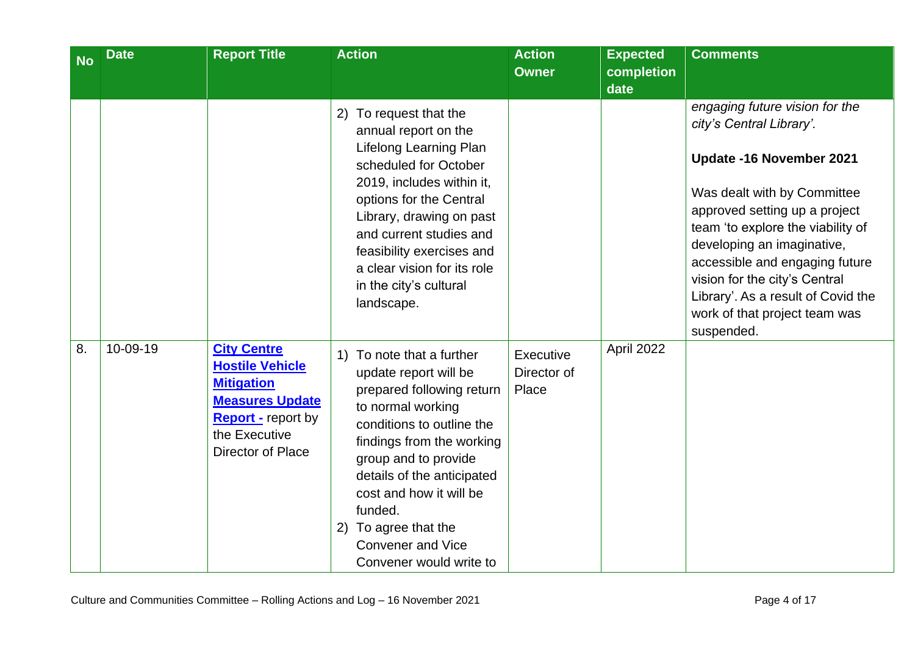| <b>No</b> | <b>Date</b> | <b>Report Title</b>                                                                                                                                            | <b>Action</b>                                                                                                                                                                                                                                                                                                                             | <b>Action</b><br><b>Owner</b>     | <b>Expected</b><br>completion | <b>Comments</b>                                                                                                                                                                                                                                                                                                                                                                   |
|-----------|-------------|----------------------------------------------------------------------------------------------------------------------------------------------------------------|-------------------------------------------------------------------------------------------------------------------------------------------------------------------------------------------------------------------------------------------------------------------------------------------------------------------------------------------|-----------------------------------|-------------------------------|-----------------------------------------------------------------------------------------------------------------------------------------------------------------------------------------------------------------------------------------------------------------------------------------------------------------------------------------------------------------------------------|
|           |             |                                                                                                                                                                |                                                                                                                                                                                                                                                                                                                                           |                                   | date                          |                                                                                                                                                                                                                                                                                                                                                                                   |
|           |             |                                                                                                                                                                | 2) To request that the<br>annual report on the<br>Lifelong Learning Plan<br>scheduled for October<br>2019, includes within it,<br>options for the Central<br>Library, drawing on past<br>and current studies and<br>feasibility exercises and<br>a clear vision for its role<br>in the city's cultural<br>landscape.                      |                                   |                               | engaging future vision for the<br>city's Central Library'.<br>Update -16 November 2021<br>Was dealt with by Committee<br>approved setting up a project<br>team 'to explore the viability of<br>developing an imaginative,<br>accessible and engaging future<br>vision for the city's Central<br>Library'. As a result of Covid the<br>work of that project team was<br>suspended. |
| 8.        | 10-09-19    | <b>City Centre</b><br><b>Hostile Vehicle</b><br><b>Mitigation</b><br><b>Measures Update</b><br><b>Report</b> - report by<br>the Executive<br>Director of Place | 1) To note that a further<br>update report will be<br>prepared following return<br>to normal working<br>conditions to outline the<br>findings from the working<br>group and to provide<br>details of the anticipated<br>cost and how it will be<br>funded.<br>2) To agree that the<br><b>Convener and Vice</b><br>Convener would write to | Executive<br>Director of<br>Place | April 2022                    |                                                                                                                                                                                                                                                                                                                                                                                   |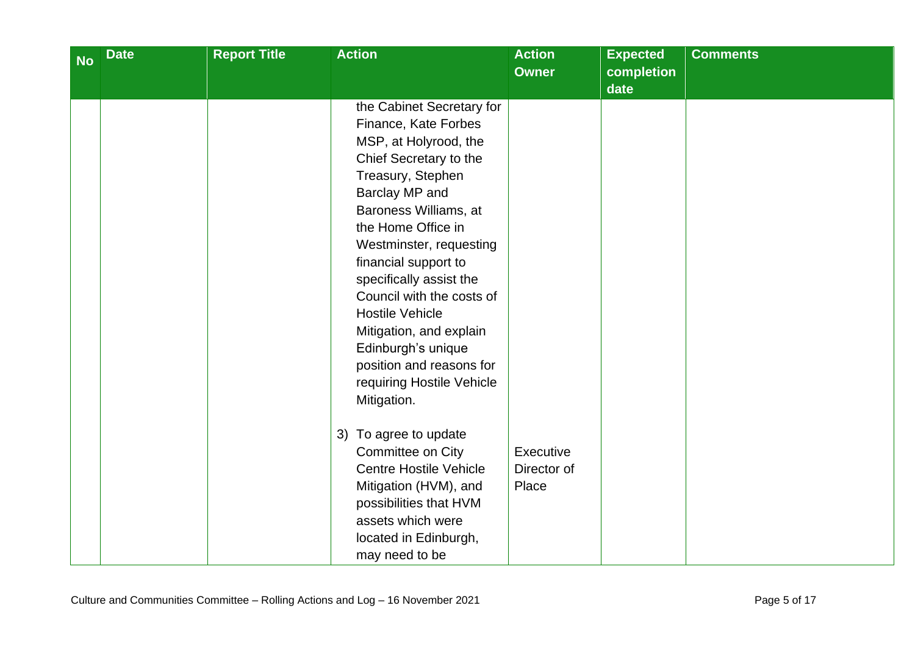| <b>No</b> | <b>Date</b> | <b>Report Title</b> | <b>Action</b>                 | <b>Action</b> | <b>Expected</b> | <b>Comments</b> |
|-----------|-------------|---------------------|-------------------------------|---------------|-----------------|-----------------|
|           |             |                     |                               | <b>Owner</b>  | completion      |                 |
|           |             |                     |                               |               | date            |                 |
|           |             |                     | the Cabinet Secretary for     |               |                 |                 |
|           |             |                     | Finance, Kate Forbes          |               |                 |                 |
|           |             |                     | MSP, at Holyrood, the         |               |                 |                 |
|           |             |                     | Chief Secretary to the        |               |                 |                 |
|           |             |                     | Treasury, Stephen             |               |                 |                 |
|           |             |                     | Barclay MP and                |               |                 |                 |
|           |             |                     | Baroness Williams, at         |               |                 |                 |
|           |             |                     | the Home Office in            |               |                 |                 |
|           |             |                     | Westminster, requesting       |               |                 |                 |
|           |             |                     | financial support to          |               |                 |                 |
|           |             |                     | specifically assist the       |               |                 |                 |
|           |             |                     | Council with the costs of     |               |                 |                 |
|           |             |                     | <b>Hostile Vehicle</b>        |               |                 |                 |
|           |             |                     | Mitigation, and explain       |               |                 |                 |
|           |             |                     | Edinburgh's unique            |               |                 |                 |
|           |             |                     | position and reasons for      |               |                 |                 |
|           |             |                     | requiring Hostile Vehicle     |               |                 |                 |
|           |             |                     | Mitigation.                   |               |                 |                 |
|           |             |                     |                               |               |                 |                 |
|           |             |                     | 3) To agree to update         |               |                 |                 |
|           |             |                     | Committee on City             | Executive     |                 |                 |
|           |             |                     | <b>Centre Hostile Vehicle</b> | Director of   |                 |                 |
|           |             |                     | Mitigation (HVM), and         | Place         |                 |                 |
|           |             |                     | possibilities that HVM        |               |                 |                 |
|           |             |                     | assets which were             |               |                 |                 |
|           |             |                     | located in Edinburgh,         |               |                 |                 |
|           |             |                     | may need to be                |               |                 |                 |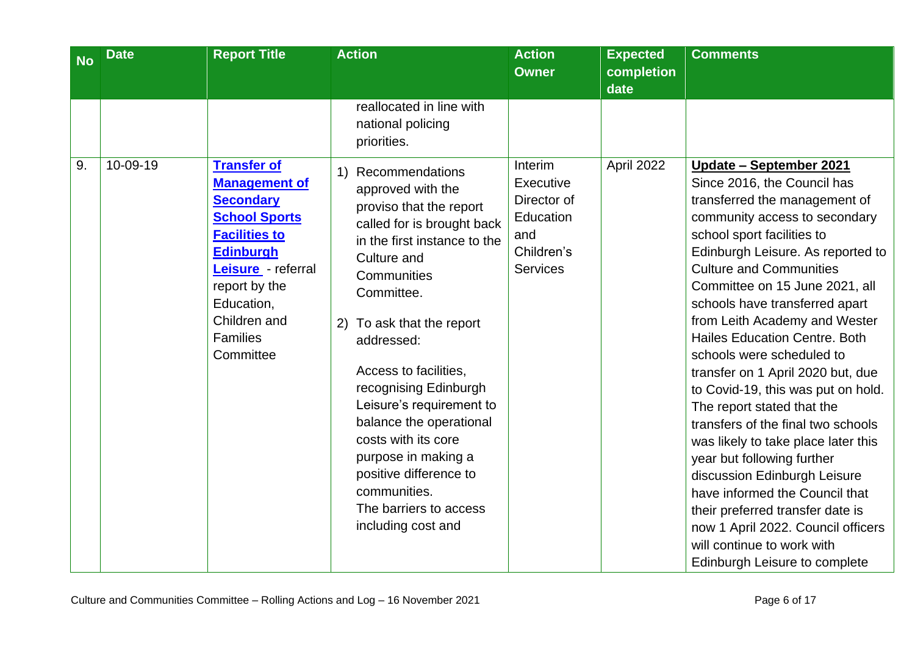| <b>No</b> | <b>Date</b> | <b>Report Title</b>                                                                                                                                                                                                                     | <b>Action</b>                                                                                                                                                                                                                                                                                                                                                       | <b>Action</b><br><b>Owner</b>                                                            | <b>Expected</b><br>completion | <b>Comments</b>                                                                                                                                                                                                                                                                                                                                                                                                                                      |
|-----------|-------------|-----------------------------------------------------------------------------------------------------------------------------------------------------------------------------------------------------------------------------------------|---------------------------------------------------------------------------------------------------------------------------------------------------------------------------------------------------------------------------------------------------------------------------------------------------------------------------------------------------------------------|------------------------------------------------------------------------------------------|-------------------------------|------------------------------------------------------------------------------------------------------------------------------------------------------------------------------------------------------------------------------------------------------------------------------------------------------------------------------------------------------------------------------------------------------------------------------------------------------|
| 9.        | 10-09-19    | <b>Transfer of</b><br><b>Management of</b><br><b>Secondary</b><br><b>School Sports</b><br><b>Facilities to</b><br><b>Edinburgh</b><br>Leisure - referral<br>report by the<br>Education,<br>Children and<br><b>Families</b><br>Committee | reallocated in line with<br>national policing<br>priorities.<br>Recommendations<br>$\left( \begin{matrix} 1 \end{matrix} \right)$<br>approved with the<br>proviso that the report<br>called for is brought back<br>in the first instance to the<br>Culture and<br>Communities<br>Committee.<br>To ask that the report<br>(2)<br>addressed:<br>Access to facilities, | Interim<br>Executive<br>Director of<br>Education<br>and<br>Children's<br><b>Services</b> | date<br>April 2022            | <u> Update – September 2021</u><br>Since 2016, the Council has<br>transferred the management of<br>community access to secondary<br>school sport facilities to<br>Edinburgh Leisure. As reported to<br><b>Culture and Communities</b><br>Committee on 15 June 2021, all<br>schools have transferred apart<br>from Leith Academy and Wester<br><b>Hailes Education Centre, Both</b><br>schools were scheduled to<br>transfer on 1 April 2020 but, due |
|           |             |                                                                                                                                                                                                                                         | recognising Edinburgh<br>Leisure's requirement to<br>balance the operational<br>costs with its core<br>purpose in making a<br>positive difference to<br>communities.<br>The barriers to access<br>including cost and                                                                                                                                                |                                                                                          |                               | to Covid-19, this was put on hold.<br>The report stated that the<br>transfers of the final two schools<br>was likely to take place later this<br>year but following further<br>discussion Edinburgh Leisure<br>have informed the Council that<br>their preferred transfer date is<br>now 1 April 2022. Council officers<br>will continue to work with<br>Edinburgh Leisure to complete                                                               |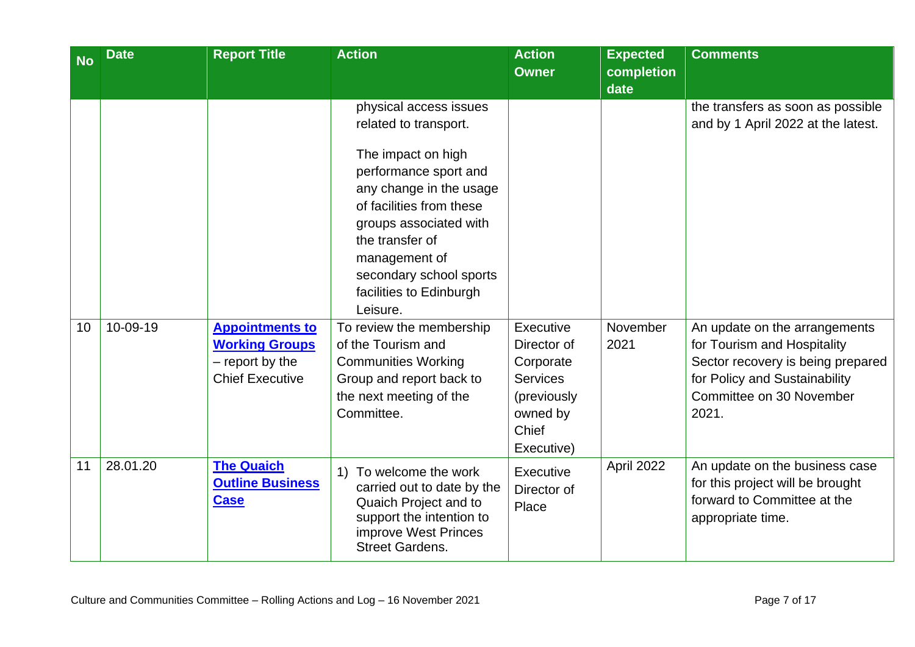| <b>No</b> | <b>Date</b> | <b>Report Title</b>     | <b>Action</b>                                     | <b>Action</b><br><b>Owner</b> | <b>Expected</b><br>completion | <b>Comments</b>                                                 |
|-----------|-------------|-------------------------|---------------------------------------------------|-------------------------------|-------------------------------|-----------------------------------------------------------------|
|           |             |                         |                                                   |                               | date                          |                                                                 |
|           |             |                         | physical access issues                            |                               |                               | the transfers as soon as possible                               |
|           |             |                         | related to transport.                             |                               |                               | and by 1 April 2022 at the latest.                              |
|           |             |                         | The impact on high                                |                               |                               |                                                                 |
|           |             |                         | performance sport and                             |                               |                               |                                                                 |
|           |             |                         | any change in the usage                           |                               |                               |                                                                 |
|           |             |                         | of facilities from these                          |                               |                               |                                                                 |
|           |             |                         | groups associated with                            |                               |                               |                                                                 |
|           |             |                         | the transfer of                                   |                               |                               |                                                                 |
|           |             |                         | management of                                     |                               |                               |                                                                 |
|           |             |                         | secondary school sports                           |                               |                               |                                                                 |
|           |             |                         | facilities to Edinburgh                           |                               |                               |                                                                 |
|           |             |                         | Leisure.                                          |                               |                               |                                                                 |
| 10        | 10-09-19    | <b>Appointments to</b>  | To review the membership                          | Executive                     | November                      | An update on the arrangements                                   |
|           |             | <b>Working Groups</b>   | of the Tourism and                                | Director of                   | 2021                          | for Tourism and Hospitality                                     |
|           |             | - report by the         | <b>Communities Working</b>                        | Corporate                     |                               | Sector recovery is being prepared                               |
|           |             | <b>Chief Executive</b>  | Group and report back to                          | <b>Services</b>               |                               | for Policy and Sustainability                                   |
|           |             |                         | the next meeting of the                           | (previously)                  |                               | Committee on 30 November                                        |
|           |             |                         | Committee.                                        | owned by                      |                               | 2021.                                                           |
|           |             |                         |                                                   | Chief                         |                               |                                                                 |
|           |             |                         |                                                   | Executive)                    |                               |                                                                 |
| 11        | 28.01.20    | <b>The Quaich</b>       | 1) To welcome the work                            | Executive                     | April 2022                    | An update on the business case                                  |
|           |             | <b>Outline Business</b> | carried out to date by the                        | Director of                   |                               | for this project will be brought<br>forward to Committee at the |
|           |             | <b>Case</b>             | Quaich Project and to<br>support the intention to | Place                         |                               | appropriate time.                                               |
|           |             |                         | improve West Princes                              |                               |                               |                                                                 |
|           |             |                         | <b>Street Gardens.</b>                            |                               |                               |                                                                 |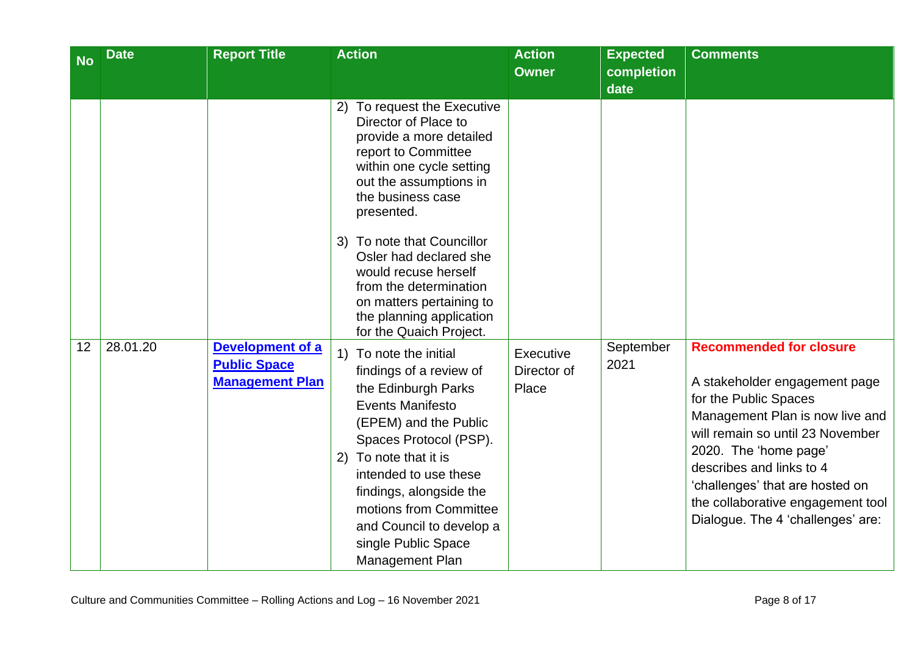| <b>No</b> | <b>Date</b> | <b>Report Title</b>                     | <b>Action</b>                                                                                                                                                                                                                                                                                                                                                                                                                                       | <b>Action</b><br><b>Owner</b> | <b>Expected</b><br>completion | <b>Comments</b>                                                                                                                                                                                                                                                                                 |
|-----------|-------------|-----------------------------------------|-----------------------------------------------------------------------------------------------------------------------------------------------------------------------------------------------------------------------------------------------------------------------------------------------------------------------------------------------------------------------------------------------------------------------------------------------------|-------------------------------|-------------------------------|-------------------------------------------------------------------------------------------------------------------------------------------------------------------------------------------------------------------------------------------------------------------------------------------------|
|           |             |                                         |                                                                                                                                                                                                                                                                                                                                                                                                                                                     |                               | date                          |                                                                                                                                                                                                                                                                                                 |
| 12        | 28.01.20    | Development of a<br><b>Public Space</b> | To request the Executive<br>2)<br>Director of Place to<br>provide a more detailed<br>report to Committee<br>within one cycle setting<br>out the assumptions in<br>the business case<br>presented.<br>3) To note that Councillor<br>Osler had declared she<br>would recuse herself<br>from the determination<br>on matters pertaining to<br>the planning application<br>for the Quaich Project.<br>1) To note the initial<br>findings of a review of | Executive<br>Director of      | September<br>2021             | <b>Recommended for closure</b>                                                                                                                                                                                                                                                                  |
|           |             | <b>Management Plan</b>                  | the Edinburgh Parks<br>Events Manifesto<br>(EPEM) and the Public<br>Spaces Protocol (PSP).<br>2) To note that it is<br>intended to use these<br>findings, alongside the<br>motions from Committee<br>and Council to develop a<br>single Public Space<br>Management Plan                                                                                                                                                                             | Place                         |                               | A stakeholder engagement page<br>for the Public Spaces<br>Management Plan is now live and<br>will remain so until 23 November<br>2020. The 'home page'<br>describes and links to 4<br>'challenges' that are hosted on<br>the collaborative engagement tool<br>Dialogue. The 4 'challenges' are: |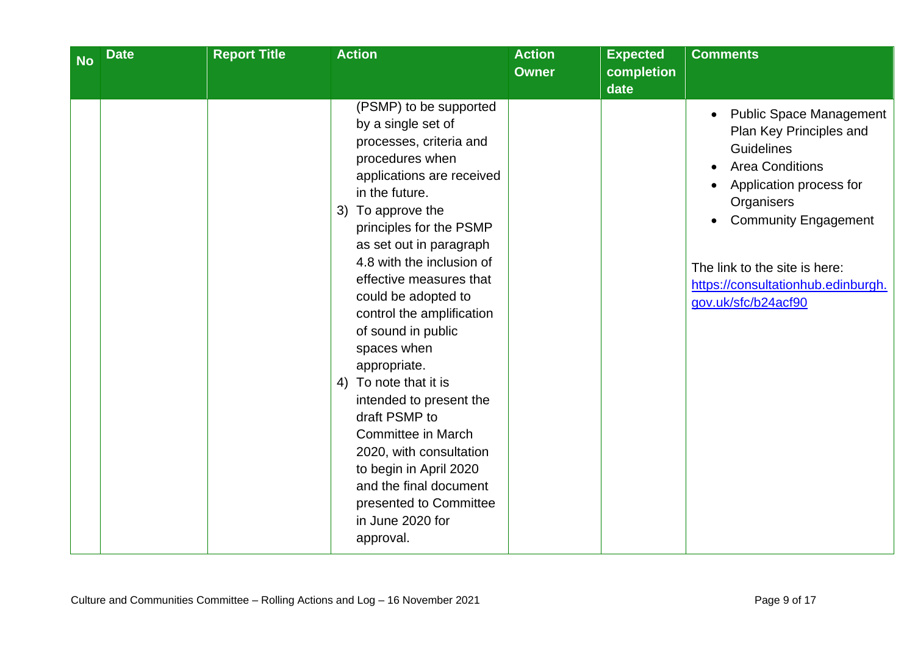| <b>No</b> | <b>Date</b> | <b>Report Title</b> | <b>Action</b>                                                                                                                                                                                                                                                                                                                                                                                                                                                                                                                                                                                                                     | <b>Action</b><br><b>Owner</b> | <b>Expected</b><br>completion | <b>Comments</b>                                                                                                                                                                                                                                                                             |
|-----------|-------------|---------------------|-----------------------------------------------------------------------------------------------------------------------------------------------------------------------------------------------------------------------------------------------------------------------------------------------------------------------------------------------------------------------------------------------------------------------------------------------------------------------------------------------------------------------------------------------------------------------------------------------------------------------------------|-------------------------------|-------------------------------|---------------------------------------------------------------------------------------------------------------------------------------------------------------------------------------------------------------------------------------------------------------------------------------------|
|           |             |                     |                                                                                                                                                                                                                                                                                                                                                                                                                                                                                                                                                                                                                                   |                               | date                          |                                                                                                                                                                                                                                                                                             |
|           |             |                     | (PSMP) to be supported<br>by a single set of<br>processes, criteria and<br>procedures when<br>applications are received<br>in the future.<br>3) To approve the<br>principles for the PSMP<br>as set out in paragraph<br>4.8 with the inclusion of<br>effective measures that<br>could be adopted to<br>control the amplification<br>of sound in public<br>spaces when<br>appropriate.<br>4) To note that it is<br>intended to present the<br>draft PSMP to<br><b>Committee in March</b><br>2020, with consultation<br>to begin in April 2020<br>and the final document<br>presented to Committee<br>in June 2020 for<br>approval. |                               |                               | <b>Public Space Management</b><br>$\bullet$<br>Plan Key Principles and<br><b>Guidelines</b><br><b>Area Conditions</b><br>Application process for<br>Organisers<br><b>Community Engagement</b><br>The link to the site is here:<br>https://consultationhub.edinburgh.<br>gov.uk/sfc/b24acf90 |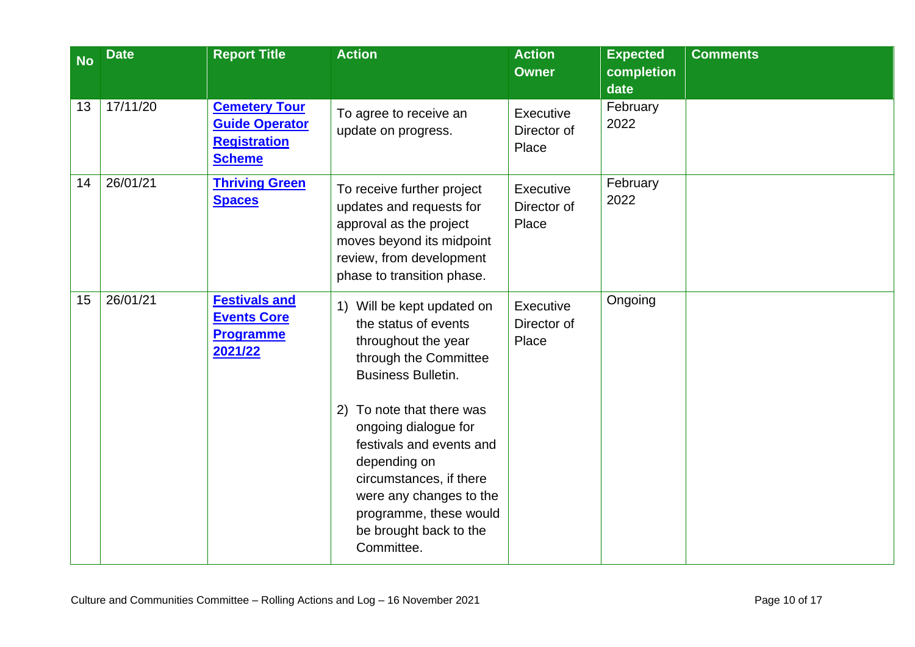| <b>No</b> | <b>Date</b> | <b>Report Title</b>                                                                   | <b>Action</b>                                                                                                                                                                                                                                                                                                                                               | <b>Action</b><br><b>Owner</b>     | <b>Expected</b><br>completion<br>date | <b>Comments</b> |
|-----------|-------------|---------------------------------------------------------------------------------------|-------------------------------------------------------------------------------------------------------------------------------------------------------------------------------------------------------------------------------------------------------------------------------------------------------------------------------------------------------------|-----------------------------------|---------------------------------------|-----------------|
| 13        | 17/11/20    | <b>Cemetery Tour</b><br><b>Guide Operator</b><br><b>Registration</b><br><b>Scheme</b> | To agree to receive an<br>update on progress.                                                                                                                                                                                                                                                                                                               | Executive<br>Director of<br>Place | February<br>2022                      |                 |
| 14        | 26/01/21    | <b>Thriving Green</b><br><b>Spaces</b>                                                | To receive further project<br>updates and requests for<br>approval as the project<br>moves beyond its midpoint<br>review, from development<br>phase to transition phase.                                                                                                                                                                                    | Executive<br>Director of<br>Place | February<br>2022                      |                 |
| 15        | 26/01/21    | <b>Festivals and</b><br><b>Events Core</b><br><b>Programme</b><br>2021/22             | 1) Will be kept updated on<br>the status of events<br>throughout the year<br>through the Committee<br><b>Business Bulletin.</b><br>To note that there was<br>2)<br>ongoing dialogue for<br>festivals and events and<br>depending on<br>circumstances, if there<br>were any changes to the<br>programme, these would<br>be brought back to the<br>Committee. | Executive<br>Director of<br>Place | Ongoing                               |                 |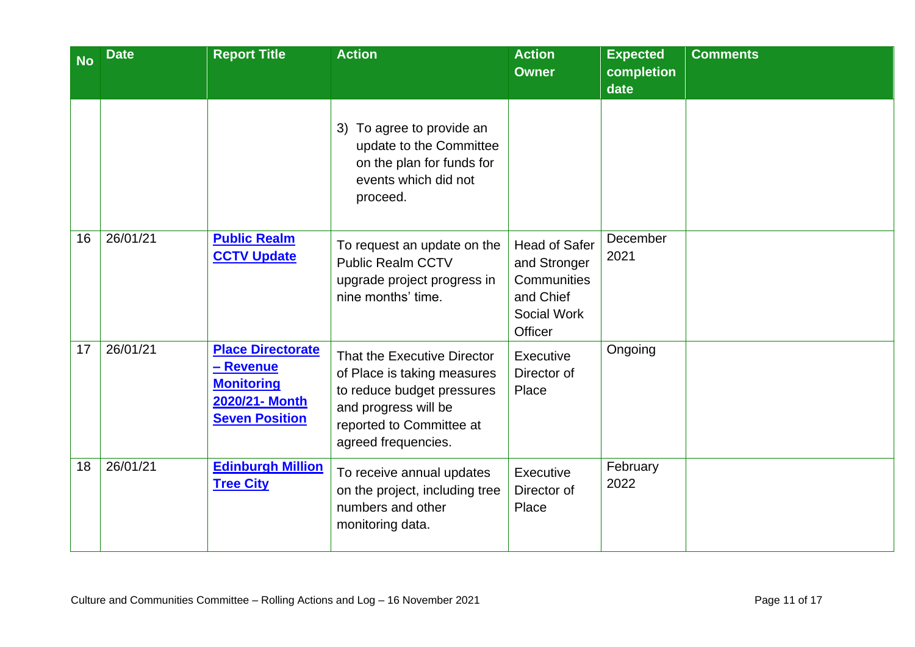| <b>No</b> | <b>Date</b> | <b>Report Title</b>                                                                                   | <b>Action</b>                                                                                                                                                       | <b>Action</b><br><b>Owner</b>                                                              | <b>Expected</b><br>completion<br>date | <b>Comments</b> |
|-----------|-------------|-------------------------------------------------------------------------------------------------------|---------------------------------------------------------------------------------------------------------------------------------------------------------------------|--------------------------------------------------------------------------------------------|---------------------------------------|-----------------|
|           |             |                                                                                                       | 3) To agree to provide an<br>update to the Committee<br>on the plan for funds for<br>events which did not<br>proceed.                                               |                                                                                            |                                       |                 |
| 16        | 26/01/21    | <b>Public Realm</b><br><b>CCTV Update</b>                                                             | To request an update on the<br><b>Public Realm CCTV</b><br>upgrade project progress in<br>nine months' time.                                                        | <b>Head of Safer</b><br>and Stronger<br>Communities<br>and Chief<br>Social Work<br>Officer | December<br>2021                      |                 |
| 17        | 26/01/21    | <b>Place Directorate</b><br>- Revenue<br><b>Monitoring</b><br>2020/21- Month<br><b>Seven Position</b> | That the Executive Director<br>of Place is taking measures<br>to reduce budget pressures<br>and progress will be<br>reported to Committee at<br>agreed frequencies. | Executive<br>Director of<br>Place                                                          | Ongoing                               |                 |
| 18        | 26/01/21    | <b>Edinburgh Million</b><br><b>Tree City</b>                                                          | To receive annual updates<br>on the project, including tree<br>numbers and other<br>monitoring data.                                                                | Executive<br>Director of<br>Place                                                          | February<br>2022                      |                 |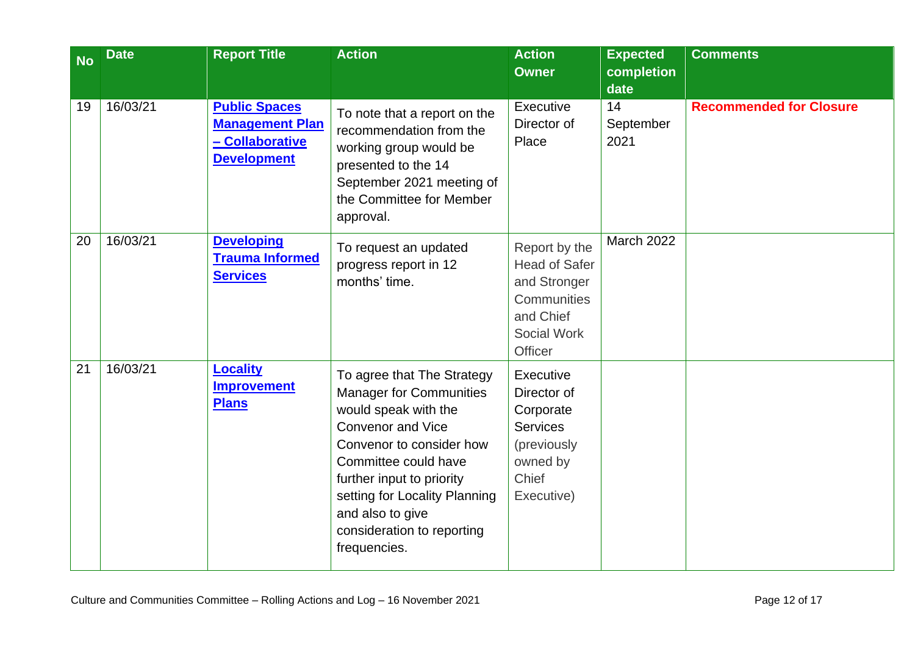| <b>No</b> | <b>Date</b> | <b>Report Title</b>                                                                     | <b>Action</b>                                                                                                                                                                                                                                                                                        | <b>Action</b><br><b>Owner</b>                                                                                     | <b>Expected</b><br>completion<br>date | <b>Comments</b>                |
|-----------|-------------|-----------------------------------------------------------------------------------------|------------------------------------------------------------------------------------------------------------------------------------------------------------------------------------------------------------------------------------------------------------------------------------------------------|-------------------------------------------------------------------------------------------------------------------|---------------------------------------|--------------------------------|
| 19        | 16/03/21    | <b>Public Spaces</b><br><b>Management Plan</b><br>- Collaborative<br><b>Development</b> | To note that a report on the<br>recommendation from the<br>working group would be<br>presented to the 14<br>September 2021 meeting of<br>the Committee for Member<br>approval.                                                                                                                       | <b>Executive</b><br>Director of<br>Place                                                                          | 14<br>September<br>2021               | <b>Recommended for Closure</b> |
| 20        | 16/03/21    | <b>Developing</b><br><b>Trauma Informed</b><br><b>Services</b>                          | To request an updated<br>progress report in 12<br>months' time.                                                                                                                                                                                                                                      | Report by the<br><b>Head of Safer</b><br>and Stronger<br>Communities<br>and Chief<br>Social Work<br>Officer       | March 2022                            |                                |
| 21        | 16/03/21    | <b>Locality</b><br><b>Improvement</b><br><b>Plans</b>                                   | To agree that The Strategy<br><b>Manager for Communities</b><br>would speak with the<br><b>Convenor and Vice</b><br>Convenor to consider how<br>Committee could have<br>further input to priority<br>setting for Locality Planning<br>and also to give<br>consideration to reporting<br>frequencies. | <b>Executive</b><br>Director of<br>Corporate<br><b>Services</b><br>(previously<br>owned by<br>Chief<br>Executive) |                                       |                                |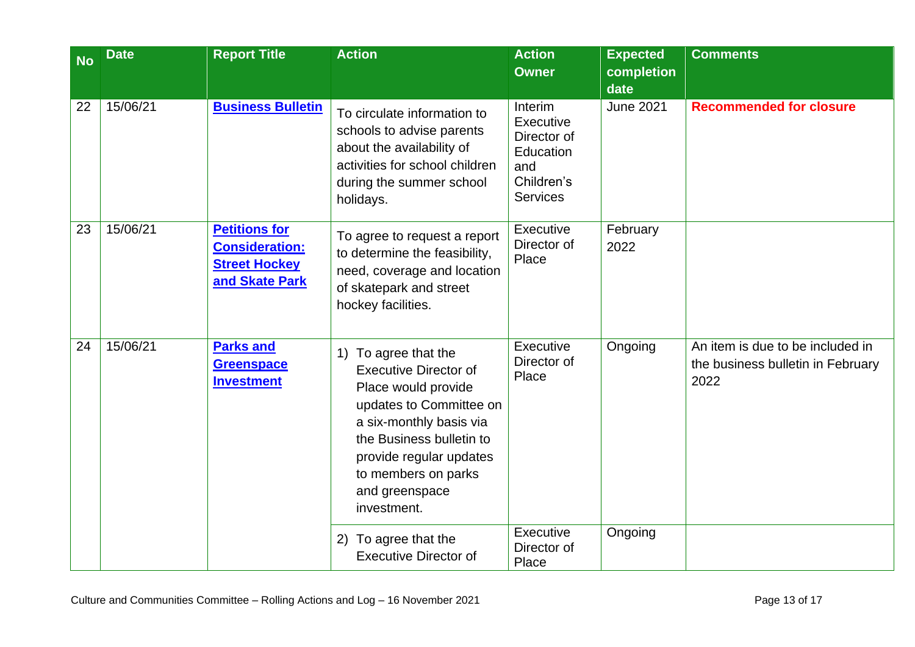| <b>No</b> | <b>Date</b> | <b>Report Title</b>                                                                     | <b>Action</b>                                                                                                                                                                                                                                    | <b>Action</b><br><b>Owner</b>                                                            | <b>Expected</b><br>completion<br>date | <b>Comments</b>                                                               |
|-----------|-------------|-----------------------------------------------------------------------------------------|--------------------------------------------------------------------------------------------------------------------------------------------------------------------------------------------------------------------------------------------------|------------------------------------------------------------------------------------------|---------------------------------------|-------------------------------------------------------------------------------|
| 22        | 15/06/21    | <b>Business Bulletin</b>                                                                | To circulate information to<br>schools to advise parents<br>about the availability of<br>activities for school children<br>during the summer school<br>holidays.                                                                                 | Interim<br>Executive<br>Director of<br>Education<br>and<br>Children's<br><b>Services</b> | <b>June 2021</b>                      | <b>Recommended for closure</b>                                                |
| 23        | 15/06/21    | <b>Petitions for</b><br><b>Consideration:</b><br><b>Street Hockey</b><br>and Skate Park | To agree to request a report<br>to determine the feasibility,<br>need, coverage and location<br>of skatepark and street<br>hockey facilities.                                                                                                    | Executive<br>Director of<br>Place                                                        | February<br>2022                      |                                                                               |
| 24        | 15/06/21    | <b>Parks and</b><br><b>Greenspace</b><br><b>Investment</b>                              | 1) To agree that the<br><b>Executive Director of</b><br>Place would provide<br>updates to Committee on<br>a six-monthly basis via<br>the Business bulletin to<br>provide regular updates<br>to members on parks<br>and greenspace<br>investment. | Executive<br>Director of<br>Place                                                        | Ongoing                               | An item is due to be included in<br>the business bulletin in February<br>2022 |
|           |             |                                                                                         | 2) To agree that the<br><b>Executive Director of</b>                                                                                                                                                                                             | Executive<br>Director of<br>Place                                                        | Ongoing                               |                                                                               |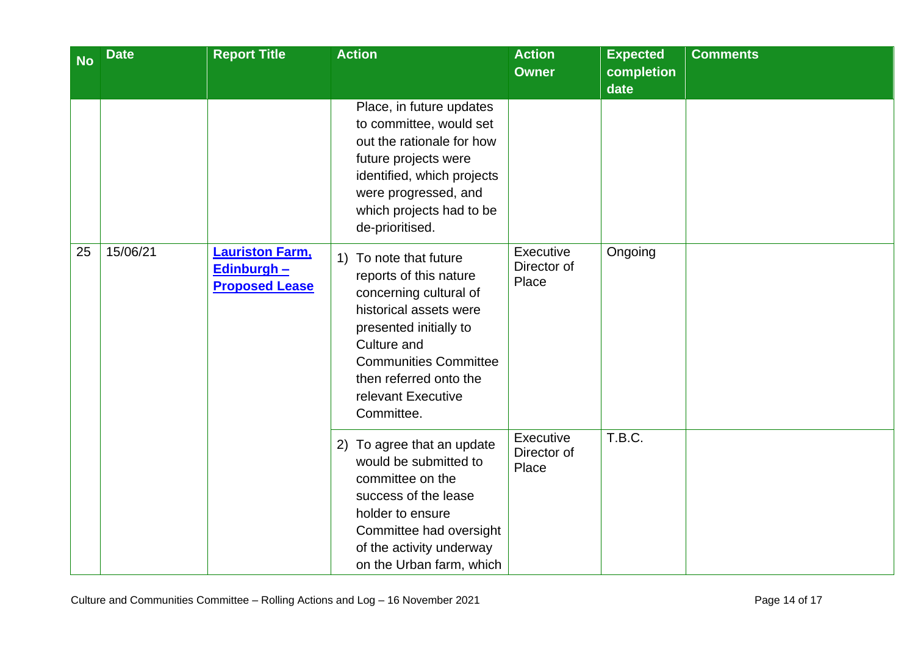| <b>No</b> | <b>Date</b> | <b>Report Title</b>                                           | <b>Action</b>                                                                                                                                                                                                                               | <b>Action</b><br><b>Owner</b>     | <b>Expected</b><br>completion | <b>Comments</b> |
|-----------|-------------|---------------------------------------------------------------|---------------------------------------------------------------------------------------------------------------------------------------------------------------------------------------------------------------------------------------------|-----------------------------------|-------------------------------|-----------------|
|           |             |                                                               |                                                                                                                                                                                                                                             |                                   | date                          |                 |
|           |             |                                                               | Place, in future updates<br>to committee, would set<br>out the rationale for how<br>future projects were<br>identified, which projects<br>were progressed, and<br>which projects had to be<br>de-prioritised.                               |                                   |                               |                 |
| 25        | 15/06/21    | <b>Lauriston Farm,</b><br>Edinburgh-<br><b>Proposed Lease</b> | 1) To note that future<br>reports of this nature<br>concerning cultural of<br>historical assets were<br>presented initially to<br>Culture and<br><b>Communities Committee</b><br>then referred onto the<br>relevant Executive<br>Committee. | Executive<br>Director of<br>Place | Ongoing                       |                 |
|           |             |                                                               | 2) To agree that an update<br>would be submitted to<br>committee on the<br>success of the lease<br>holder to ensure<br>Committee had oversight<br>of the activity underway<br>on the Urban farm, which                                      | Executive<br>Director of<br>Place | T.B.C.                        |                 |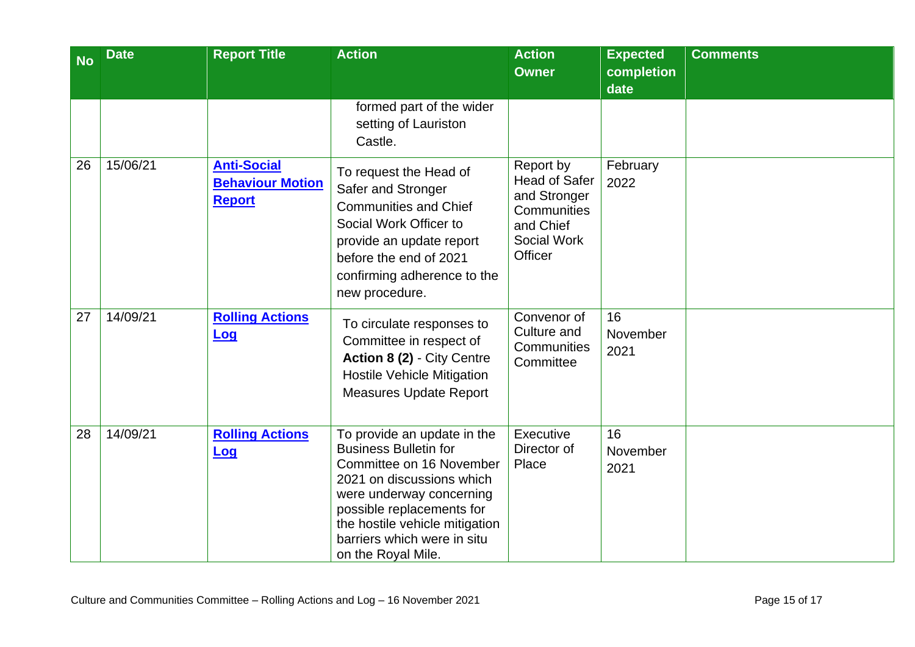| <b>No</b> | <b>Date</b> | <b>Report Title</b>                                            | <b>Action</b>                                                                                                                                                                                                                                                        | <b>Action</b><br><b>Owner</b>                                                                           | <b>Expected</b><br>completion<br>date | <b>Comments</b> |
|-----------|-------------|----------------------------------------------------------------|----------------------------------------------------------------------------------------------------------------------------------------------------------------------------------------------------------------------------------------------------------------------|---------------------------------------------------------------------------------------------------------|---------------------------------------|-----------------|
|           |             |                                                                | formed part of the wider<br>setting of Lauriston<br>Castle.                                                                                                                                                                                                          |                                                                                                         |                                       |                 |
| 26        | 15/06/21    | <b>Anti-Social</b><br><b>Behaviour Motion</b><br><b>Report</b> | To request the Head of<br>Safer and Stronger<br><b>Communities and Chief</b><br>Social Work Officer to<br>provide an update report<br>before the end of 2021<br>confirming adherence to the<br>new procedure.                                                        | Report by<br><b>Head of Safer</b><br>and Stronger<br>Communities<br>and Chief<br>Social Work<br>Officer | February<br>2022                      |                 |
| 27        | 14/09/21    | <b>Rolling Actions</b><br><u>Log</u>                           | To circulate responses to<br>Committee in respect of<br>Action 8 (2) - City Centre<br><b>Hostile Vehicle Mitigation</b><br><b>Measures Update Report</b>                                                                                                             | Convenor of<br>Culture and<br>Communities<br>Committee                                                  | 16<br>November<br>2021                |                 |
| 28        | 14/09/21    | <b>Rolling Actions</b><br><u>Log</u>                           | To provide an update in the<br><b>Business Bulletin for</b><br>Committee on 16 November<br>2021 on discussions which<br>were underway concerning<br>possible replacements for<br>the hostile vehicle mitigation<br>barriers which were in situ<br>on the Royal Mile. | Executive<br>Director of<br>Place                                                                       | 16<br>November<br>2021                |                 |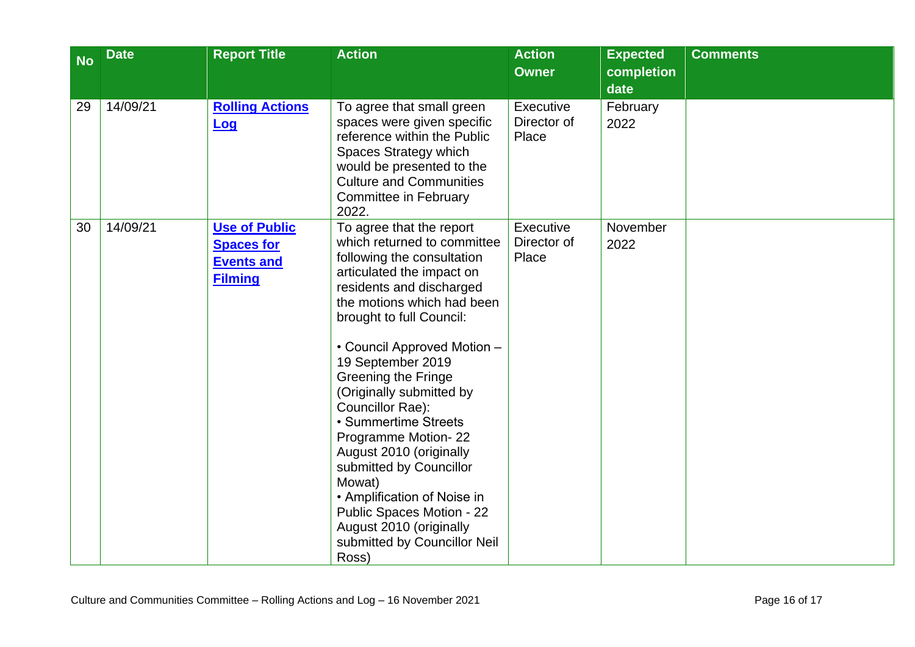| <b>No</b> | <b>Date</b> | <b>Report Title</b>                                                              | <b>Action</b>                                                                                                                                                                                                                                                                                                                                                                                                                                                                                                                                                                             | <b>Action</b><br><b>Owner</b>     | <b>Expected</b><br>completion | <b>Comments</b> |
|-----------|-------------|----------------------------------------------------------------------------------|-------------------------------------------------------------------------------------------------------------------------------------------------------------------------------------------------------------------------------------------------------------------------------------------------------------------------------------------------------------------------------------------------------------------------------------------------------------------------------------------------------------------------------------------------------------------------------------------|-----------------------------------|-------------------------------|-----------------|
|           |             |                                                                                  |                                                                                                                                                                                                                                                                                                                                                                                                                                                                                                                                                                                           |                                   | date                          |                 |
| 29        | 14/09/21    | <b>Rolling Actions</b><br><u>Log</u>                                             | To agree that small green<br>spaces were given specific<br>reference within the Public<br>Spaces Strategy which<br>would be presented to the<br><b>Culture and Communities</b><br><b>Committee in February</b><br>2022.                                                                                                                                                                                                                                                                                                                                                                   | Executive<br>Director of<br>Place | February<br>2022              |                 |
| 30        | 14/09/21    | <b>Use of Public</b><br><b>Spaces for</b><br><b>Events and</b><br><b>Filming</b> | To agree that the report<br>which returned to committee<br>following the consultation<br>articulated the impact on<br>residents and discharged<br>the motions which had been<br>brought to full Council:<br>• Council Approved Motion -<br>19 September 2019<br><b>Greening the Fringe</b><br>(Originally submitted by<br>Councillor Rae):<br>• Summertime Streets<br>Programme Motion-22<br>August 2010 (originally<br>submitted by Councillor<br>Mowat)<br>• Amplification of Noise in<br>Public Spaces Motion - 22<br>August 2010 (originally<br>submitted by Councillor Neil<br>Ross) | Executive<br>Director of<br>Place | November<br>2022              |                 |